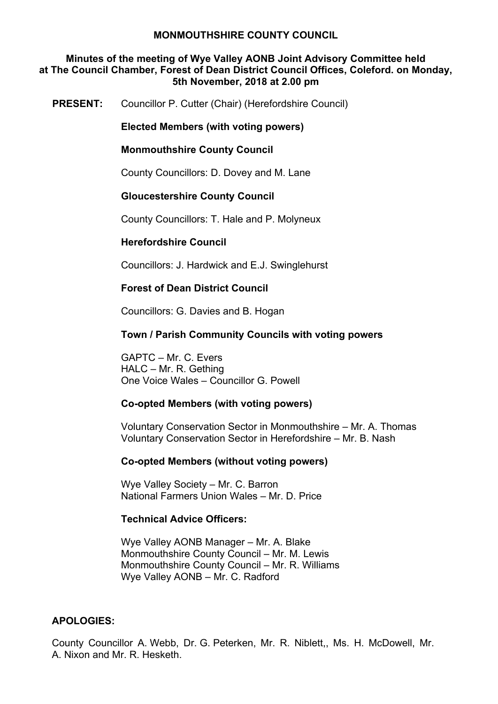#### **Minutes of the meeting of Wye Valley AONB Joint Advisory Committee held at The Council Chamber, Forest of Dean District Council Offices, Coleford. on Monday, 5th November, 2018 at 2.00 pm**

**PRESENT:** Councillor P. Cutter (Chair) (Herefordshire Council)

**Elected Members (with voting powers)**

#### **Monmouthshire County Council**

County Councillors: D. Dovey and M. Lane

#### **Gloucestershire County Council**

County Councillors: T. Hale and P. Molyneux

### **Herefordshire Council**

Councillors: J. Hardwick and E.J. Swinglehurst

### **Forest of Dean District Council**

Councillors: G. Davies and B. Hogan

#### **Town / Parish Community Councils with voting powers**

GAPTC – Mr. C. Evers HALC – Mr. R. Gething One Voice Wales – Councillor G. Powell

#### **Co-opted Members (with voting powers)**

Voluntary Conservation Sector in Monmouthshire – Mr. A. Thomas Voluntary Conservation Sector in Herefordshire – Mr. B. Nash

#### **Co-opted Members (without voting powers)**

Wye Valley Society – Mr. C. Barron National Farmers Union Wales – Mr. D. Price

#### **Technical Advice Officers:**

Wye Valley AONB Manager – Mr. A. Blake Monmouthshire County Council – Mr. M. Lewis Monmouthshire County Council – Mr. R. Williams Wye Valley AONB – Mr. C. Radford

### **APOLOGIES:**

County Councillor A. Webb, Dr. G. Peterken, Mr. R. Niblett,, Ms. H. McDowell, Mr. A. Nixon and Mr. R. Hesketh.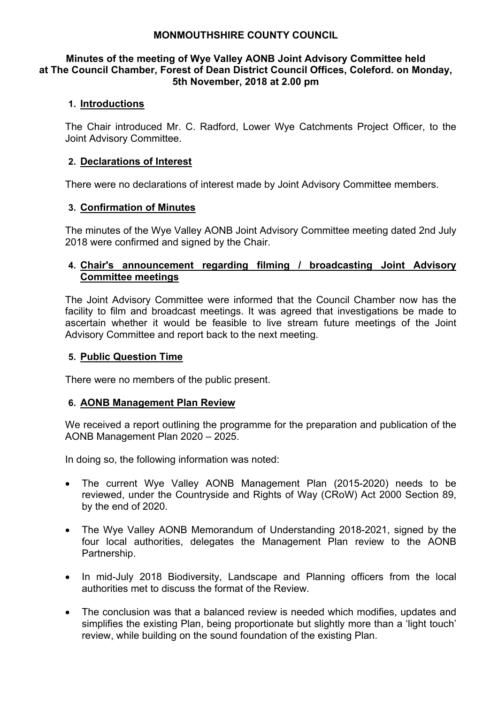#### **Minutes of the meeting of Wye Valley AONB Joint Advisory Committee held at The Council Chamber, Forest of Dean District Council Offices, Coleford. on Monday, 5th November, 2018 at 2.00 pm**

## **1. Introductions**

The Chair introduced Mr. C. Radford, Lower Wye Catchments Project Officer, to the Joint Advisory Committee.

# **2. Declarations of Interest**

There were no declarations of interest made by Joint Advisory Committee members.

### **3. Confirmation of Minutes**

The minutes of the Wye Valley AONB Joint Advisory Committee meeting dated 2nd July 2018 were confirmed and signed by the Chair.

## **4. Chair's announcement regarding filming / broadcasting Joint Advisory Committee meetings**

The Joint Advisory Committee were informed that the Council Chamber now has the facility to film and broadcast meetings. It was agreed that investigations be made to ascertain whether it would be feasible to live stream future meetings of the Joint Advisory Committee and report back to the next meeting.

## **5. Public Question Time**

There were no members of the public present.

### **6. AONB Management Plan Review**

We received a report outlining the programme for the preparation and publication of the AONB Management Plan 2020 – 2025.

In doing so, the following information was noted:

- The current Wye Valley AONB Management Plan (2015-2020) needs to be reviewed, under the Countryside and Rights of Way (CRoW) Act 2000 Section 89, by the end of 2020.
- The Wye Valley AONB Memorandum of Understanding 2018-2021, signed by the four local authorities, delegates the Management Plan review to the AONB Partnership.
- In mid-July 2018 Biodiversity, Landscape and Planning officers from the local authorities met to discuss the format of the Review.
- The conclusion was that a balanced review is needed which modifies, updates and simplifies the existing Plan, being proportionate but slightly more than a 'light touch' review, while building on the sound foundation of the existing Plan.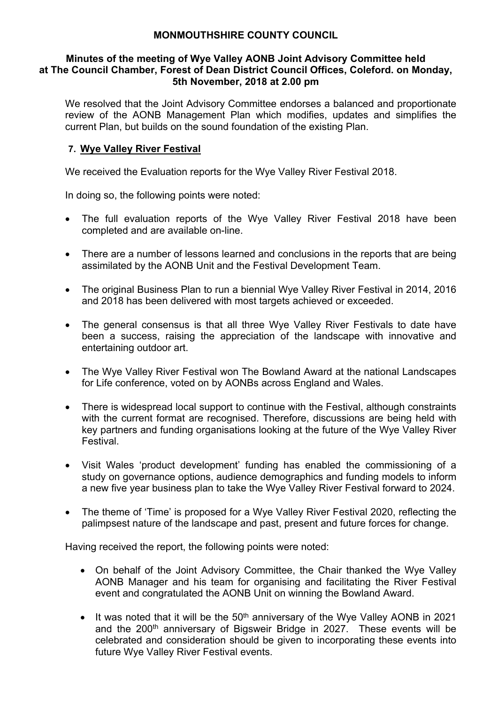#### **Minutes of the meeting of Wye Valley AONB Joint Advisory Committee held at The Council Chamber, Forest of Dean District Council Offices, Coleford. on Monday, 5th November, 2018 at 2.00 pm**

We resolved that the Joint Advisory Committee endorses a balanced and proportionate review of the AONB Management Plan which modifies, updates and simplifies the current Plan, but builds on the sound foundation of the existing Plan.

# **7. Wye Valley River Festival**

We received the Evaluation reports for the Wye Valley River Festival 2018.

In doing so, the following points were noted:

- The full evaluation reports of the Wye Valley River Festival 2018 have been completed and are available on-line.
- There are a number of lessons learned and conclusions in the reports that are being assimilated by the AONB Unit and the Festival Development Team.
- The original Business Plan to run a biennial Wye Valley River Festival in 2014, 2016 and 2018 has been delivered with most targets achieved or exceeded.
- The general consensus is that all three Wye Valley River Festivals to date have been a success, raising the appreciation of the landscape with innovative and entertaining outdoor art.
- The Wye Valley River Festival won The Bowland Award at the national Landscapes for Life conference, voted on by AONBs across England and Wales.
- There is widespread local support to continue with the Festival, although constraints with the current format are recognised. Therefore, discussions are being held with key partners and funding organisations looking at the future of the Wye Valley River Festival.
- Visit Wales 'product development' funding has enabled the commissioning of a study on governance options, audience demographics and funding models to inform a new five year business plan to take the Wye Valley River Festival forward to 2024.
- The theme of 'Time' is proposed for a Wye Valley River Festival 2020, reflecting the palimpsest nature of the landscape and past, present and future forces for change.

Having received the report, the following points were noted:

- On behalf of the Joint Advisory Committee, the Chair thanked the Wye Valley AONB Manager and his team for organising and facilitating the River Festival event and congratulated the AONB Unit on winning the Bowland Award.
- $\bullet$  It was noted that it will be the 50<sup>th</sup> anniversary of the Wye Valley AONB in 2021 and the 200<sup>th</sup> anniversary of Bigsweir Bridge in 2027. These events will be celebrated and consideration should be given to incorporating these events into future Wye Valley River Festival events.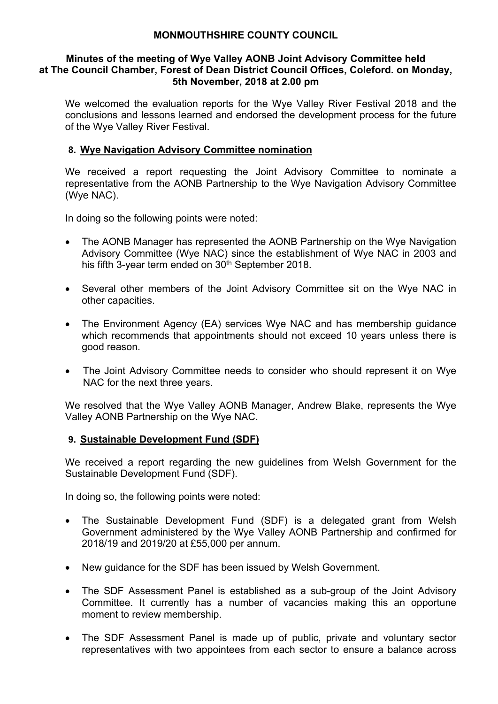#### **Minutes of the meeting of Wye Valley AONB Joint Advisory Committee held at The Council Chamber, Forest of Dean District Council Offices, Coleford. on Monday, 5th November, 2018 at 2.00 pm**

We welcomed the evaluation reports for the Wye Valley River Festival 2018 and the conclusions and lessons learned and endorsed the development process for the future of the Wye Valley River Festival.

# **8. Wye Navigation Advisory Committee nomination**

We received a report requesting the Joint Advisory Committee to nominate a representative from the AONB Partnership to the Wye Navigation Advisory Committee (Wye NAC).

In doing so the following points were noted:

- The AONB Manager has represented the AONB Partnership on the Wye Navigation Advisory Committee (Wye NAC) since the establishment of Wye NAC in 2003 and his fifth 3-year term ended on 30<sup>th</sup> September 2018.
- Several other members of the Joint Advisory Committee sit on the Wye NAC in other capacities.
- The Environment Agency (EA) services Wye NAC and has membership guidance which recommends that appointments should not exceed 10 years unless there is good reason.
- The Joint Advisory Committee needs to consider who should represent it on Wye NAC for the next three years.

We resolved that the Wye Valley AONB Manager, Andrew Blake, represents the Wye Valley AONB Partnership on the Wye NAC.

### **9. Sustainable Development Fund (SDF)**

We received a report regarding the new guidelines from Welsh Government for the Sustainable Development Fund (SDF).

In doing so, the following points were noted:

- The Sustainable Development Fund (SDF) is a delegated grant from Welsh Government administered by the Wye Valley AONB Partnership and confirmed for 2018/19 and 2019/20 at £55,000 per annum.
- New guidance for the SDF has been issued by Welsh Government.
- The SDF Assessment Panel is established as a sub-group of the Joint Advisory Committee. It currently has a number of vacancies making this an opportune moment to review membership.
- The SDF Assessment Panel is made up of public, private and voluntary sector representatives with two appointees from each sector to ensure a balance across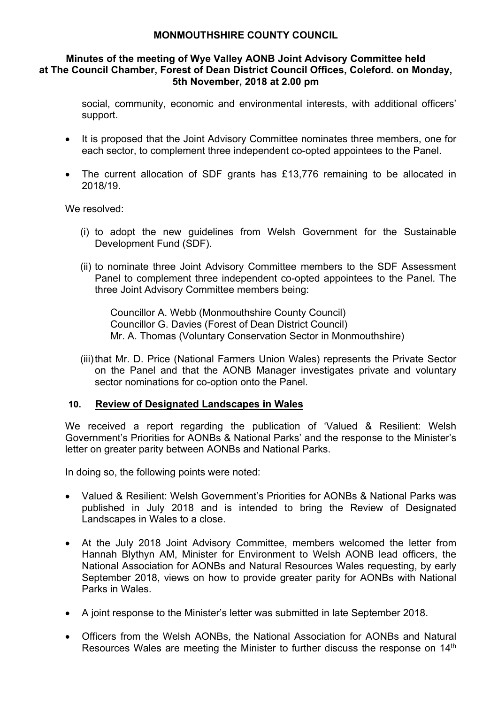#### **Minutes of the meeting of Wye Valley AONB Joint Advisory Committee held at The Council Chamber, Forest of Dean District Council Offices, Coleford. on Monday, 5th November, 2018 at 2.00 pm**

social, community, economic and environmental interests, with additional officers' support.

- It is proposed that the Joint Advisory Committee nominates three members, one for each sector, to complement three independent co-opted appointees to the Panel.
- The current allocation of SDF grants has £13,776 remaining to be allocated in 2018/19.

We resolved:

- (i) to adopt the new guidelines from Welsh Government for the Sustainable Development Fund (SDF).
- (ii) to nominate three Joint Advisory Committee members to the SDF Assessment Panel to complement three independent co-opted appointees to the Panel. The three Joint Advisory Committee members being:

Councillor A. Webb (Monmouthshire County Council) Councillor G. Davies (Forest of Dean District Council) Mr. A. Thomas (Voluntary Conservation Sector in Monmouthshire)

(iii)that Mr. D. Price (National Farmers Union Wales) represents the Private Sector on the Panel and that the AONB Manager investigates private and voluntary sector nominations for co-option onto the Panel.

### **10. Review of Designated Landscapes in Wales**

We received a report regarding the publication of 'Valued & Resilient: Welsh Government's Priorities for AONBs & National Parks' and the response to the Minister's letter on greater parity between AONBs and National Parks.

In doing so, the following points were noted:

- Valued & Resilient: Welsh Government's Priorities for AONBs & National Parks was published in July 2018 and is intended to bring the Review of Designated Landscapes in Wales to a close.
- At the July 2018 Joint Advisory Committee, members welcomed the letter from Hannah Blythyn AM, Minister for Environment to Welsh AONB lead officers, the National Association for AONBs and Natural Resources Wales requesting, by early September 2018, views on how to provide greater parity for AONBs with National Parks in Wales.
- A joint response to the Minister's letter was submitted in late September 2018.
- Officers from the Welsh AONBs, the National Association for AONBs and Natural Resources Wales are meeting the Minister to further discuss the response on 14<sup>th</sup>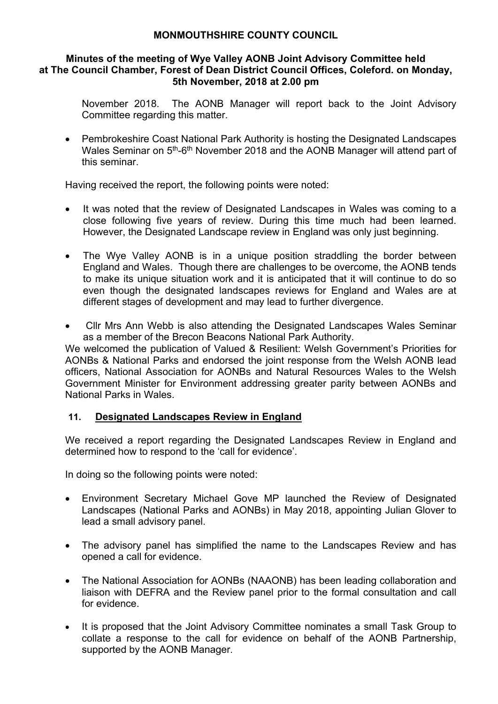#### **Minutes of the meeting of Wye Valley AONB Joint Advisory Committee held at The Council Chamber, Forest of Dean District Council Offices, Coleford. on Monday, 5th November, 2018 at 2.00 pm**

November 2018. The AONB Manager will report back to the Joint Advisory Committee regarding this matter.

 Pembrokeshire Coast National Park Authority is hosting the Designated Landscapes Wales Seminar on 5<sup>th</sup>-6<sup>th</sup> November 2018 and the AONB Manager will attend part of this seminar.

Having received the report, the following points were noted:

- It was noted that the review of Designated Landscapes in Wales was coming to a close following five years of review. During this time much had been learned. However, the Designated Landscape review in England was only just beginning.
- The Wye Valley AONB is in a unique position straddling the border between England and Wales. Though there are challenges to be overcome, the AONB tends to make its unique situation work and it is anticipated that it will continue to do so even though the designated landscapes reviews for England and Wales are at different stages of development and may lead to further divergence.
- Cllr Mrs Ann Webb is also attending the Designated Landscapes Wales Seminar as a member of the Brecon Beacons National Park Authority.

We welcomed the publication of Valued & Resilient: Welsh Government's Priorities for AONBs & National Parks and endorsed the joint response from the Welsh AONB lead officers, National Association for AONBs and Natural Resources Wales to the Welsh Government Minister for Environment addressing greater parity between AONBs and National Parks in Wales.

# **11. Designated Landscapes Review in England**

We received a report regarding the Designated Landscapes Review in England and determined how to respond to the 'call for evidence'.

In doing so the following points were noted:

- Environment Secretary Michael Gove MP launched the Review of Designated Landscapes (National Parks and AONBs) in May 2018, appointing Julian Glover to lead a small advisory panel.
- The advisory panel has simplified the name to the Landscapes Review and has opened a call for evidence.
- The National Association for AONBs (NAAONB) has been leading collaboration and liaison with DEFRA and the Review panel prior to the formal consultation and call for evidence.
- It is proposed that the Joint Advisory Committee nominates a small Task Group to collate a response to the call for evidence on behalf of the AONB Partnership, supported by the AONB Manager.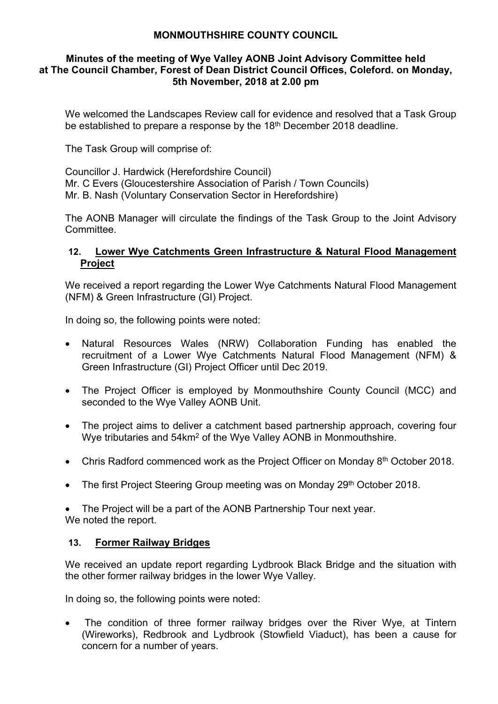#### **Minutes of the meeting of Wye Valley AONB Joint Advisory Committee held at The Council Chamber, Forest of Dean District Council Offices, Coleford. on Monday, 5th November, 2018 at 2.00 pm**

We welcomed the Landscapes Review call for evidence and resolved that a Task Group be established to prepare a response by the 18th December 2018 deadline.

The Task Group will comprise of:

Councillor J. Hardwick (Herefordshire Council) Mr. C Evers (Gloucestershire Association of Parish / Town Councils) Mr. B. Nash (Voluntary Conservation Sector in Herefordshire)

The AONB Manager will circulate the findings of the Task Group to the Joint Advisory Committee.

# **12. Lower Wye Catchments Green Infrastructure & Natural Flood Management Project**

We received a report regarding the Lower Wye Catchments Natural Flood Management (NFM) & Green Infrastructure (GI) Project.

In doing so, the following points were noted:

- Natural Resources Wales (NRW) Collaboration Funding has enabled the recruitment of a Lower Wye Catchments Natural Flood Management (NFM) & Green Infrastructure (GI) Project Officer until Dec 2019.
- The Project Officer is employed by Monmouthshire County Council (MCC) and seconded to the Wye Valley AONB Unit.
- The project aims to deliver a catchment based partnership approach, covering four Wye tributaries and 54km<sup>2</sup> of the Wye Valley AONB in Monmouthshire.
- Chris Radford commenced work as the Project Officer on Monday 8<sup>th</sup> October 2018.
- The first Project Steering Group meeting was on Monday 29th October 2018.

 The Project will be a part of the AONB Partnership Tour next year. We noted the report.

# **13. Former Railway Bridges**

We received an update report regarding Lydbrook Black Bridge and the situation with the other former railway bridges in the lower Wye Valley.

In doing so, the following points were noted:

 The condition of three former railway bridges over the River Wye, at Tintern (Wireworks), Redbrook and Lydbrook (Stowfield Viaduct), has been a cause for concern for a number of years.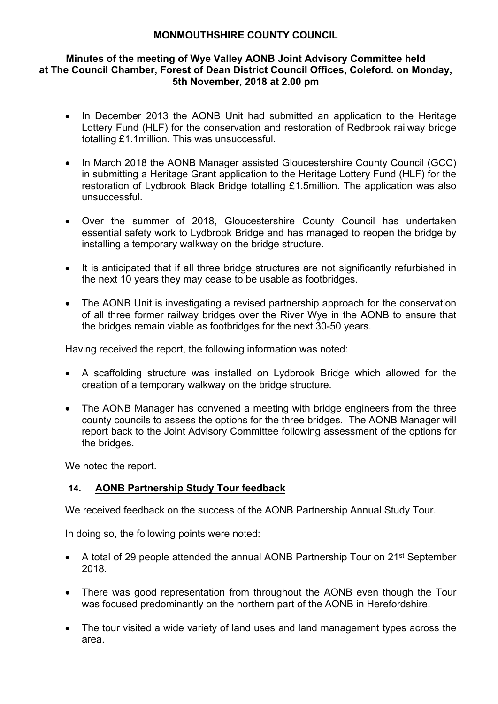#### **Minutes of the meeting of Wye Valley AONB Joint Advisory Committee held at The Council Chamber, Forest of Dean District Council Offices, Coleford. on Monday, 5th November, 2018 at 2.00 pm**

- In December 2013 the AONB Unit had submitted an application to the Heritage Lottery Fund (HLF) for the conservation and restoration of Redbrook railway bridge totalling £1.1million. This was unsuccessful.
- In March 2018 the AONB Manager assisted Gloucestershire County Council (GCC) in submitting a Heritage Grant application to the Heritage Lottery Fund (HLF) for the restoration of Lydbrook Black Bridge totalling £1.5million. The application was also unsuccessful.
- Over the summer of 2018, Gloucestershire County Council has undertaken essential safety work to Lydbrook Bridge and has managed to reopen the bridge by installing a temporary walkway on the bridge structure.
- It is anticipated that if all three bridge structures are not significantly refurbished in the next 10 years they may cease to be usable as footbridges.
- The AONB Unit is investigating a revised partnership approach for the conservation of all three former railway bridges over the River Wye in the AONB to ensure that the bridges remain viable as footbridges for the next 30-50 years.

Having received the report, the following information was noted:

- A scaffolding structure was installed on Lydbrook Bridge which allowed for the creation of a temporary walkway on the bridge structure.
- The AONB Manager has convened a meeting with bridge engineers from the three county councils to assess the options for the three bridges. The AONB Manager will report back to the Joint Advisory Committee following assessment of the options for the bridges.

We noted the report.

# **14. AONB Partnership Study Tour feedback**

We received feedback on the success of the AONB Partnership Annual Study Tour.

In doing so, the following points were noted:

- A total of 29 people attended the annual AONB Partnership Tour on 21<sup>st</sup> September 2018.
- There was good representation from throughout the AONB even though the Tour was focused predominantly on the northern part of the AONB in Herefordshire.
- The tour visited a wide variety of land uses and land management types across the area.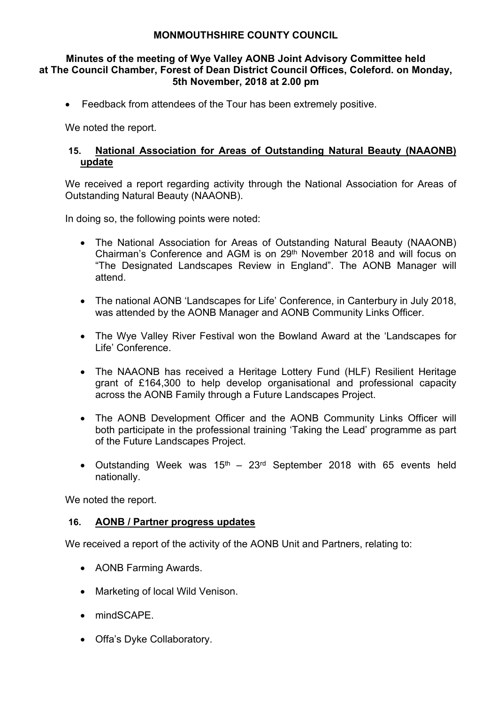#### **Minutes of the meeting of Wye Valley AONB Joint Advisory Committee held at The Council Chamber, Forest of Dean District Council Offices, Coleford. on Monday, 5th November, 2018 at 2.00 pm**

Feedback from attendees of the Tour has been extremely positive.

We noted the report.

## **15. National Association for Areas of Outstanding Natural Beauty (NAAONB) update**

We received a report regarding activity through the National Association for Areas of Outstanding Natural Beauty (NAAONB).

In doing so, the following points were noted:

- The National Association for Areas of Outstanding Natural Beauty (NAAONB) Chairman's Conference and AGM is on 29<sup>th</sup> November 2018 and will focus on "The Designated Landscapes Review in England". The AONB Manager will attend.
- The national AONB 'Landscapes for Life' Conference, in Canterbury in July 2018, was attended by the AONB Manager and AONB Community Links Officer.
- The Wye Valley River Festival won the Bowland Award at the 'Landscapes for Life' Conference.
- The NAAONB has received a Heritage Lottery Fund (HLF) Resilient Heritage grant of £164,300 to help develop organisational and professional capacity across the AONB Family through a Future Landscapes Project.
- The AONB Development Officer and the AONB Community Links Officer will both participate in the professional training 'Taking the Lead' programme as part of the Future Landscapes Project.
- Outstanding Week was  $15<sup>th</sup> 23<sup>rd</sup>$  September 2018 with 65 events held nationally.

We noted the report.

### **16. AONB / Partner progress updates**

We received a report of the activity of the AONB Unit and Partners, relating to:

- AONB Farming Awards.
- Marketing of local Wild Venison.
- mindSCAPF
- Offa's Dyke Collaboratory.